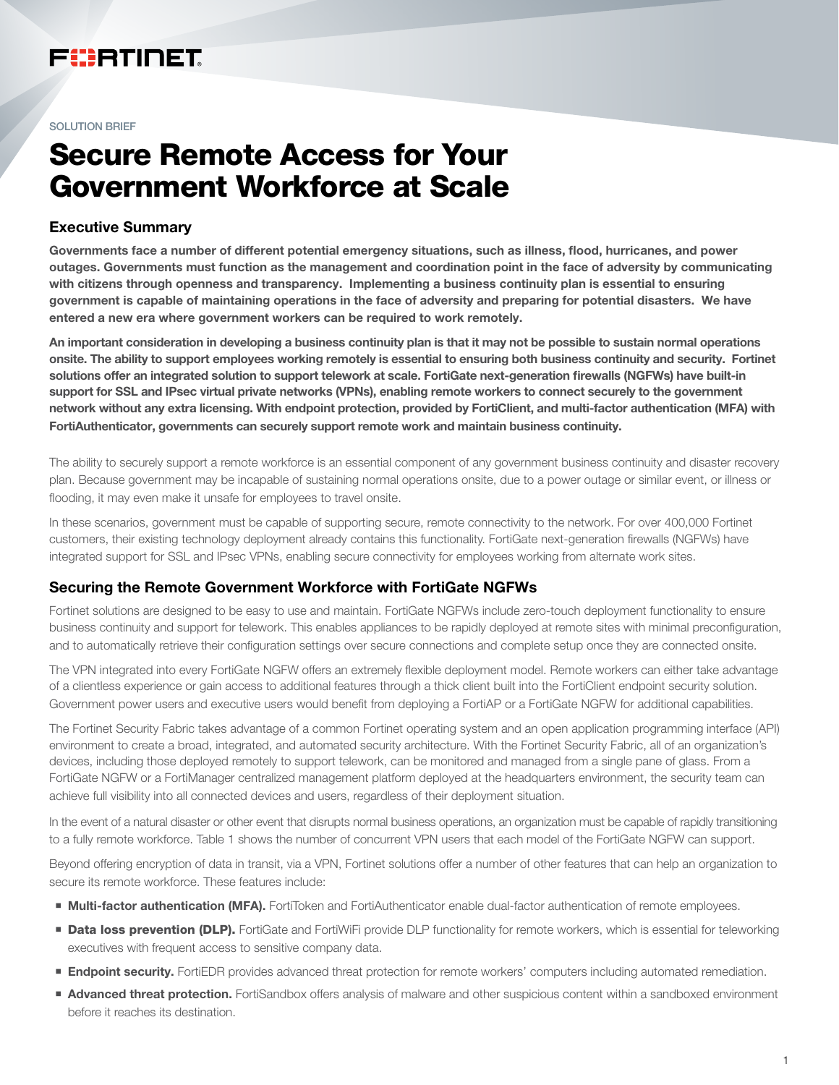## FURTINET

#### SOLUTION BRIEF

# Secure Remote Access for Your Government Workforce at Scale

#### Executive Summary

Governments face a number of different potential emergency situations, such as illness, flood, hurricanes, and power outages. Governments must function as the management and coordination point in the face of adversity by communicating with citizens through openness and transparency. Implementing a business continuity plan is essential to ensuring government is capable of maintaining operations in the face of adversity and preparing for potential disasters. We have entered a new era where government workers can be required to work remotely.

An important consideration in developing a business continuity plan is that it may not be possible to sustain normal operations onsite. The ability to support employees working remotely is essential to ensuring both business continuity and security. Fortinet solutions offer an integrated solution to support telework at scale. FortiGate next-generation firewalls (NGFWs) have built-in support for SSL and IPsec virtual private networks (VPNs), enabling remote workers to connect securely to the government network without any extra licensing. With endpoint protection, provided by FortiClient, and multi-factor authentication (MFA) with FortiAuthenticator, governments can securely support remote work and maintain business continuity.

The ability to securely support a remote workforce is an essential component of any government business continuity and disaster recovery plan. Because government may be incapable of sustaining normal operations onsite, due to a power outage or similar event, or illness or flooding, it may even make it unsafe for employees to travel onsite.

In these scenarios, government must be capable of supporting secure, remote connectivity to the network. For over 400,000 Fortinet customers, their existing technology deployment already contains this functionality. FortiGate next-generation firewalls (NGFWs) have integrated support for SSL and IPsec VPNs, enabling secure connectivity for employees working from alternate work sites.

## Securing the Remote Government Workforce with FortiGate NGFWs

Fortinet solutions are designed to be easy to use and maintain. FortiGate NGFWs include zero-touch deployment functionality to ensure business continuity and support for telework. This enables appliances to be rapidly deployed at remote sites with minimal preconfiguration, and to automatically retrieve their configuration settings over secure connections and complete setup once they are connected onsite.

The VPN integrated into every FortiGate NGFW offers an extremely flexible deployment model. Remote workers can either take advantage of a clientless experience or gain access to additional features through a thick client built into the FortiClient endpoint security solution. Government power users and executive users would benefit from deploying a FortiAP or a FortiGate NGFW for additional capabilities.

The Fortinet Security Fabric takes advantage of a common Fortinet operating system and an open application programming interface (API) environment to create a broad, integrated, and automated security architecture. With the Fortinet Security Fabric, all of an organization's devices, including those deployed remotely to support telework, can be monitored and managed from a single pane of glass. From a FortiGate NGFW or a FortiManager centralized management platform deployed at the headquarters environment, the security team can achieve full visibility into all connected devices and users, regardless of their deployment situation.

In the event of a natural disaster or other event that disrupts normal business operations, an organization must be capable of rapidly transitioning to a fully remote workforce. Table 1 shows the number of concurrent VPN users that each model of the FortiGate NGFW can support.

Beyond offering encryption of data in transit, via a VPN, Fortinet solutions offer a number of other features that can help an organization to secure its remote workforce. These features include:

- **Multi-factor authentication (MFA).** FortiToken and FortiAuthenticator enable dual-factor authentication of remote employees.
- **Data loss prevention (DLP).** FortiGate and FortiWiFi provide DLP functionality for remote workers, which is essential for teleworking executives with frequent access to sensitive company data.
- **Endpoint security.** FortiEDR provides advanced threat protection for remote workers' computers including automated remediation.
- **Advanced threat protection.** FortiSandbox offers analysis of malware and other suspicious content within a sandboxed environment before it reaches its destination.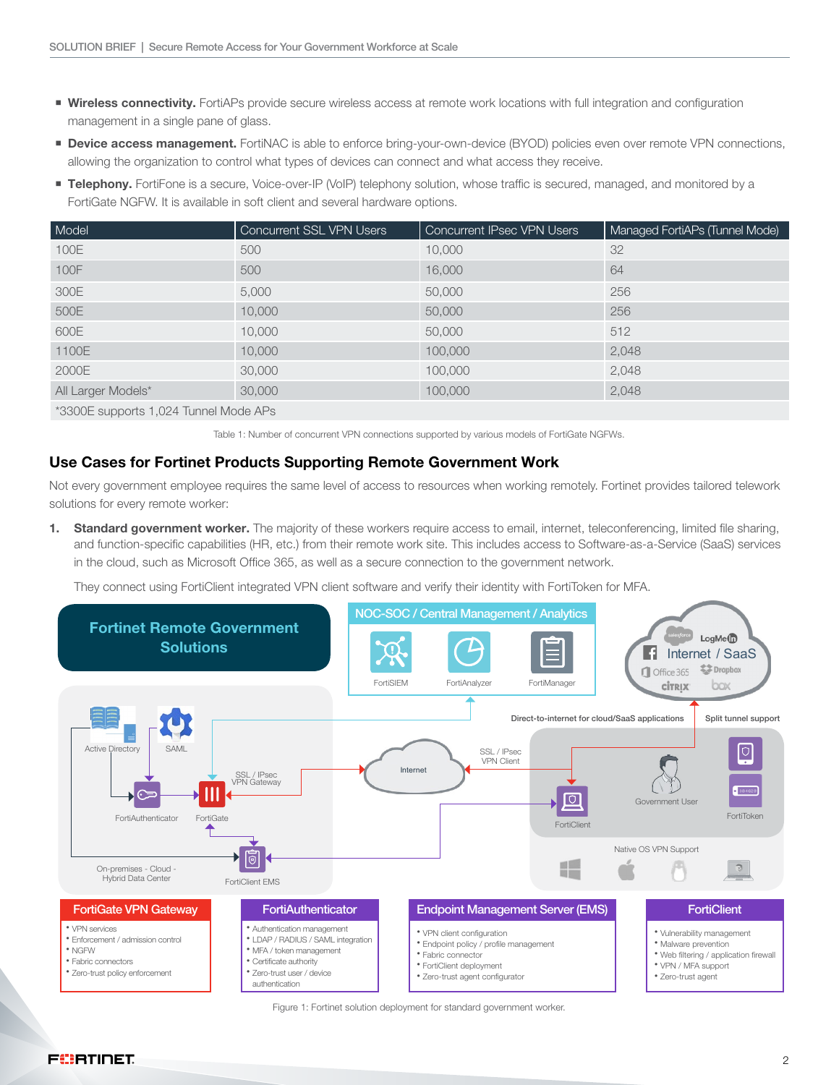- **Wireless connectivity.** FortiAPs provide secure wireless access at remote work locations with full integration and configuration management in a single pane of glass.
- **Device access management.** FortiNAC is able to enforce bring-your-own-device (BYOD) policies even over remote VPN connections, allowing the organization to control what types of devices can connect and what access they receive.
- **Telephony.** FortiFone is a secure, Voice-over-IP (VoIP) telephony solution, whose traffic is secured, managed, and monitored by a FortiGate NGFW. It is available in soft client and several hardware options.

| Model                                 | <b>Concurrent SSL VPN Users</b> | <b>Concurrent IPsec VPN Users</b> | Managed FortiAPs (Tunnel Mode) |
|---------------------------------------|---------------------------------|-----------------------------------|--------------------------------|
| 100E                                  | 500                             | 10,000                            | 32                             |
| 100F                                  | 500                             | 16,000                            | 64                             |
| 300E                                  | 5,000                           | 50,000                            | 256                            |
| 500E                                  | 10,000                          | 50,000                            | 256                            |
| 600E                                  | 10,000                          | 50,000                            | 512                            |
| 1100E                                 | 10,000                          | 100,000                           | 2,048                          |
| 2000E                                 | 30,000                          | 100,000                           | 2,048                          |
| All Larger Models*                    | 30,000                          | 100,000                           | 2,048                          |
| *3300E supports 1,024 Tunnel Mode APs |                                 |                                   |                                |

Table 1: Number of concurrent VPN connections supported by various models of FortiGate NGFWs.

## Use Cases for Fortinet Products Supporting Remote Government Work

Not every government employee requires the same level of access to resources when working remotely. Fortinet provides tailored telework solutions for every remote worker:

1. Standard government worker. The majority of these workers require access to email, internet, teleconferencing, limited file sharing, and function-specific capabilities (HR, etc.) from their remote work site. This includes access to Software-as-a-Service (SaaS) services in the cloud, such as Microsoft Office 365, as well as a secure connection to the government network.

They connect using FortiClient integrated VPN client software and verify their identity with FortiToken for MFA.



Figure 1: Fortinet solution deployment for standard government worker.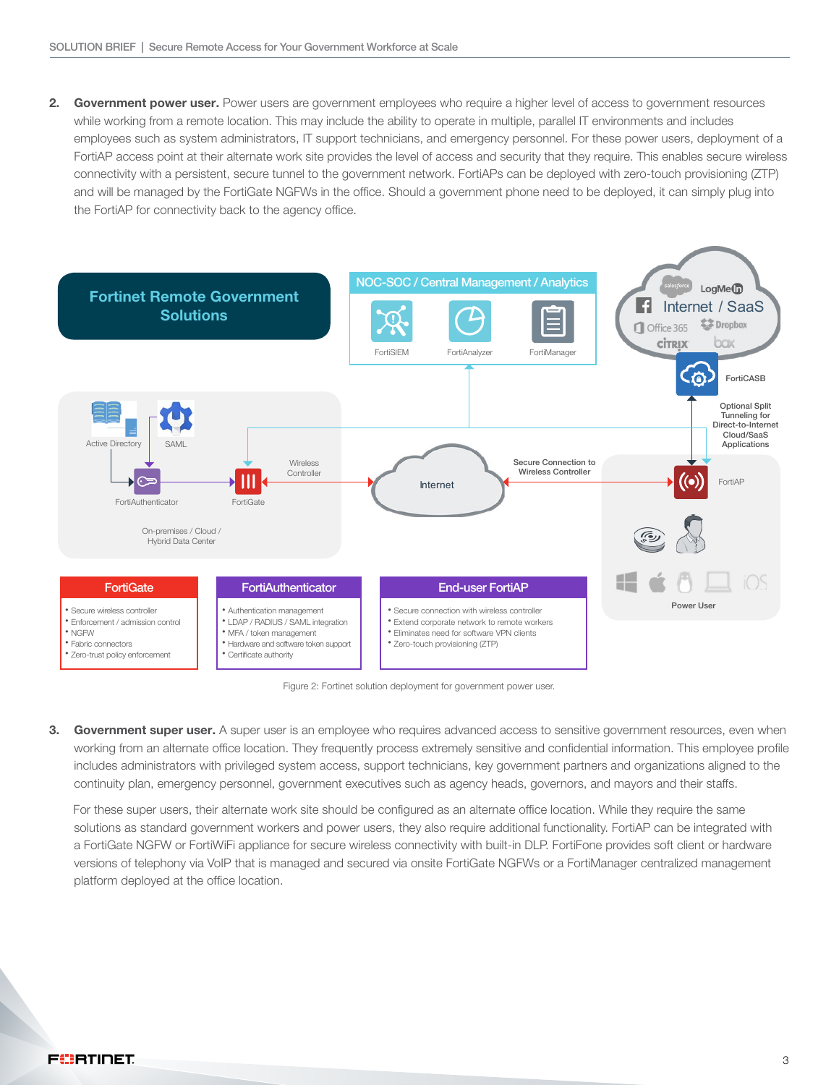2. Government power user. Power users are government employees who require a higher level of access to government resources while working from a remote location. This may include the ability to operate in multiple, parallel IT environments and includes employees such as system administrators, IT support technicians, and emergency personnel. For these power users, deployment of a FortiAP access point at their alternate work site provides the level of access and security that they require. This enables secure wireless connectivity with a persistent, secure tunnel to the government network. FortiAPs can be deployed with zero-touch provisioning (ZTP) and will be managed by the FortiGate NGFWs in the office. Should a government phone need to be deployed, it can simply plug into the FortiAP for connectivity back to the agency office.



Figure 2: Fortinet solution deployment for government power user.

3. Government super user. A super user is an employee who requires advanced access to sensitive government resources, even when working from an alternate office location. They frequently process extremely sensitive and confidential information. This employee profile includes administrators with privileged system access, support technicians, key government partners and organizations aligned to the continuity plan, emergency personnel, government executives such as agency heads, governors, and mayors and their staffs.

 For these super users, their alternate work site should be configured as an alternate office location. While they require the same solutions as standard government workers and power users, they also require additional functionality. FortiAP can be integrated with a FortiGate NGFW or FortiWiFi appliance for secure wireless connectivity with built-in DLP. FortiFone provides soft client or hardware versions of telephony via VoIP that is managed and secured via onsite FortiGate NGFWs or a FortiManager centralized management platform deployed at the office location.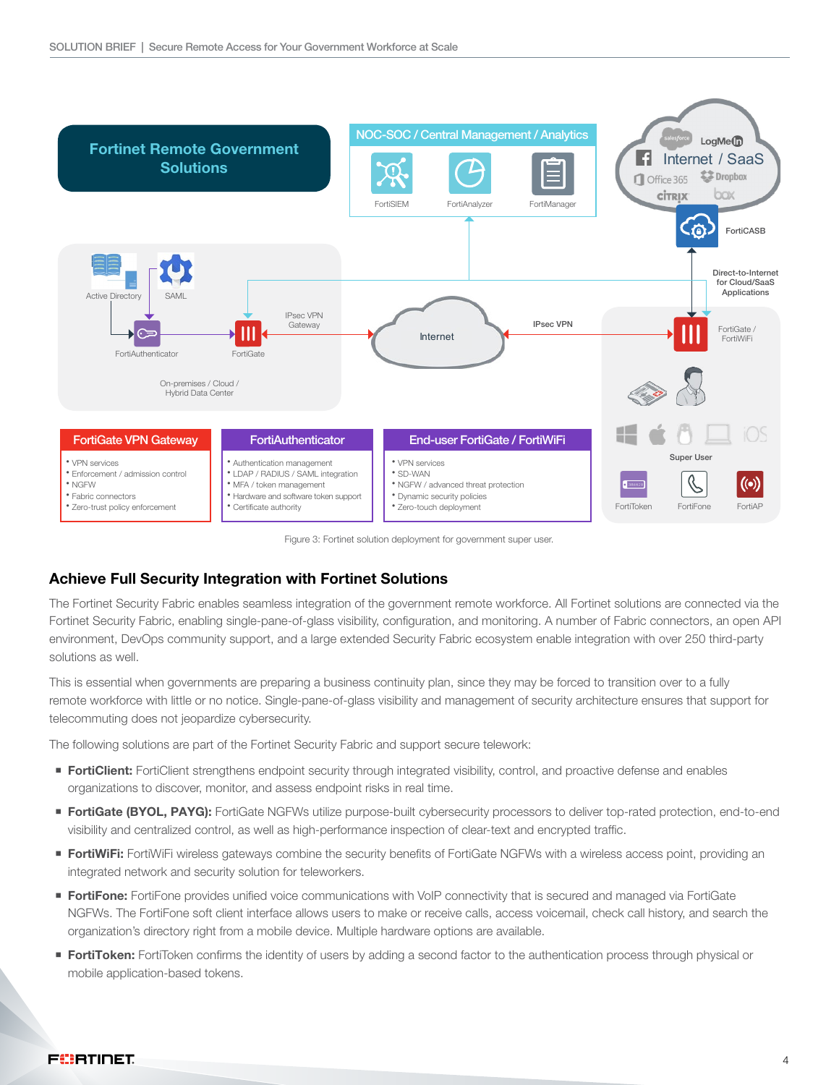

Figure 3: Fortinet solution deployment for government super user.

## Achieve Full Security Integration with Fortinet Solutions

The Fortinet Security Fabric enables seamless integration of the government remote workforce. All Fortinet solutions are connected via the Fortinet Security Fabric, enabling single-pane-of-glass visibility, configuration, and monitoring. A number of Fabric connectors, an open API environment, DevOps community support, and a large extended Security Fabric ecosystem enable integration with over 250 third-party solutions as well.

This is essential when governments are preparing a business continuity plan, since they may be forced to transition over to a fully remote workforce with little or no notice. Single-pane-of-glass visibility and management of security architecture ensures that support for telecommuting does not jeopardize cybersecurity.

The following solutions are part of the Fortinet Security Fabric and support secure telework:

- **FortiClient:** FortiClient strengthens endpoint security through integrated visibility, control, and proactive defense and enables organizations to discover, monitor, and assess endpoint risks in real time.
- **FortiGate (BYOL, PAYG):** FortiGate NGFWs utilize purpose-built cybersecurity processors to deliver top-rated protection, end-to-end visibility and centralized control, as well as high-performance inspection of clear-text and encrypted traffic.
- **FortiWiFi:** FortiWiFi wireless gateways combine the security benefits of FortiGate NGFWs with a wireless access point, providing an integrated network and security solution for teleworkers.
- **FortiFone:** FortiFone provides unified voice communications with VoIP connectivity that is secured and managed via FortiGate NGFWs. The FortiFone soft client interface allows users to make or receive calls, access voicemail, check call history, and search the organization's directory right from a mobile device. Multiple hardware options are available.
- **FortiToken:** FortiToken confirms the identity of users by adding a second factor to the authentication process through physical or mobile application-based tokens.

#### FORTIDET